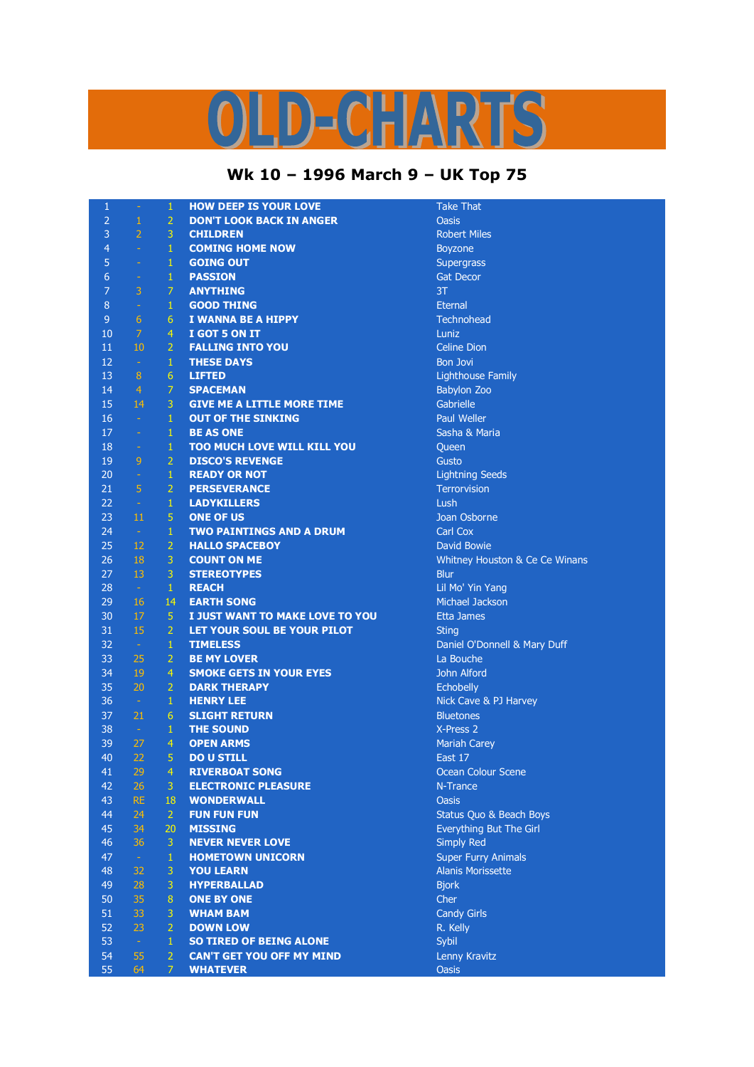## LD-CHARTS

## **Wk 10 – 1996 March 9 – UK Top 75**

| $\mathbf{1}$   | ÷              | $\mathbf{1}$   | <b>HOW DEEP IS YOUR LOVE</b>       | <b>Take That</b>               |
|----------------|----------------|----------------|------------------------------------|--------------------------------|
| $\overline{2}$ | $\mathbf{1}$   | $\overline{2}$ | <b>DON'T LOOK BACK IN ANGER</b>    | <b>Oasis</b>                   |
| 3              | $\overline{2}$ | 3              | <b>CHILDREN</b>                    | <b>Robert Miles</b>            |
| 4              | $\equiv$       | $\mathbf{1}$   | <b>COMING HOME NOW</b>             | <b>Boyzone</b>                 |
| 5              | $\omega$       | $\mathbf{1}$   | <b>GOING OUT</b>                   | Supergrass                     |
| 6              | $\equiv$       | $\mathbf{1}$   | <b>PASSION</b>                     | <b>Gat Decor</b>               |
| $\overline{7}$ | 3              | 7              | <b>ANYTHING</b>                    | 3T                             |
| 8              | $\omega$       | $\mathbf{1}$   | <b>GOOD THING</b>                  | <b>Eternal</b>                 |
| 9              | 6              | 6              | I WANNA BE A HIPPY                 | Technohead                     |
| 10             | 7              | $\overline{4}$ | I GOT 5 ON IT                      | Luniz                          |
| 11             | 10             | $\overline{2}$ | <b>FALLING INTO YOU</b>            | <b>Celine Dion</b>             |
| 12             | $\omega$       | $\mathbf{1}$   | <b>THESE DAYS</b>                  | <b>Bon Jovi</b>                |
| 13             | 8              | 6              | <b>LIFTED</b>                      | <b>Lighthouse Family</b>       |
| 14             | $\overline{4}$ | $\overline{7}$ | <b>SPACEMAN</b>                    | <b>Babylon Zoo</b>             |
| 15             | 14             | 3              | <b>GIVE ME A LITTLE MORE TIME</b>  | Gabrielle                      |
| 16             | $\sim$         | $\mathbf{1}$   | <b>OUT OF THE SINKING</b>          | <b>Paul Weller</b>             |
| 17             | $\equiv$       | $\mathbf{1}$   | <b>BE AS ONE</b>                   | Sasha & Maria                  |
| 18             | $\sim$         | $\mathbf{1}$   | <b>TOO MUCH LOVE WILL KILL YOU</b> | Queen                          |
| 19             | 9              | $\overline{2}$ | <b>DISCO'S REVENGE</b>             | Gusto                          |
| 20             | $\omega$       | $\mathbf{1}$   | <b>READY OR NOT</b>                | <b>Lightning Seeds</b>         |
| 21             | $\overline{5}$ | $\overline{2}$ | <b>PERSEVERANCE</b>                | <b>Terrorvision</b>            |
| 22             | $\sim$         | $\mathbf{1}$   | <b>LADYKILLERS</b>                 | Lush                           |
| 23             | 11             | 5              | <b>ONE OF US</b>                   | Joan Osborne                   |
| 24             | $\sim$         | $\mathbf{1}$   | <b>TWO PAINTINGS AND A DRUM</b>    | Carl Cox                       |
| 25             | 12             | $\overline{2}$ | <b>HALLO SPACEBOY</b>              | David Bowie                    |
| 26             | 18             | 3              | <b>COUNT ON ME</b>                 | Whitney Houston & Ce Ce Winans |
| 27             | 13             | 3              | <b>STEREOTYPES</b>                 | <b>Blur</b>                    |
| 28             | $\sim$         | $\mathbf{1}$   | <b>REACH</b>                       | Lil Mo' Yin Yang               |
| 29             | 16             | 14             | <b>EARTH SONG</b>                  | Michael Jackson                |
| 30             | 17             | 5              | I JUST WANT TO MAKE LOVE TO YOU    | <b>Etta James</b>              |
| 31             | 15             | $\overline{2}$ | LET YOUR SOUL BE YOUR PILOT        | <b>Sting</b>                   |
| 32             | $\sim$         | $\mathbf{1}$   | <b>TIMELESS</b>                    | Daniel O'Donnell & Mary Duff   |
| 33             | 25             | $\overline{2}$ | <b>BE MY LOVER</b>                 | La Bouche                      |
| 34             | 19             | 4              | <b>SMOKE GETS IN YOUR EYES</b>     | John Alford                    |
| 35             | 20             | $\overline{2}$ | <b>DARK THERAPY</b>                | Echobelly                      |
| 36             | $\sim$         | $\mathbf{1}$   | <b>HENRY LEE</b>                   | Nick Cave & PJ Harvey          |
| 37             | 21             | 6              | <b>SLIGHT RETURN</b>               | <b>Bluetones</b>               |
| 38             | $\sim$ $-$     | $\mathbf{1}$   | <b>THE SOUND</b>                   | X-Press 2                      |
| 39             | 27             | $\overline{4}$ | <b>OPEN ARMS</b>                   | <b>Mariah Carey</b>            |
| 40             | 22             | 5              | <b>DO U STILL</b>                  | East 17                        |
| 41             | 29             | 4              | <b>RIVERBOAT SONG</b>              | Ocean Colour Scene             |
| 42             | 26             | 3              | <b>ELECTRONIC PLEASURE</b>         | N-Trance                       |
| 43             | <b>RE</b>      | 18             | <b>WONDERWALL</b>                  | <b>Oasis</b>                   |
| 44             | 24             | $\overline{2}$ | <b>FUN FUN FUN</b>                 | Status Quo & Beach Boys        |
| 45             | 34             | 20             | <b>MISSING</b>                     | Everything But The Girl        |
| 46             | 36             | 3              | <b>NEVER NEVER LOVE</b>            | <b>Simply Red</b>              |
| 47             | $\pm$          | $\mathbf{1}$   | <b>HOMETOWN UNICORN</b>            | <b>Super Furry Animals</b>     |
| 48             | 32             | 3              | <b>YOU LEARN</b>                   | <b>Alanis Morissette</b>       |
| 49             | 28             | 3              | <b>HYPERBALLAD</b>                 | <b>Bjork</b>                   |
| 50             | 35             | 8              | <b>ONE BY ONE</b>                  | Cher                           |
| 51             | 33             | 3              | <b>WHAM BAM</b>                    | <b>Candy Girls</b>             |
| 52             | 23             | $\overline{2}$ | <b>DOWN LOW</b>                    | R. Kelly                       |
| 53             | $\omega$       | $\mathbf{1}$   | <b>SO TIRED OF BEING ALONE</b>     | Sybil                          |
| 54             | 55             | $\overline{2}$ | <b>CAN'T GET YOU OFF MY MIND</b>   | Lenny Kravitz                  |
| 55             | 64             | $\overline{7}$ | <b>WHATEVER</b>                    | <b>Oasis</b>                   |